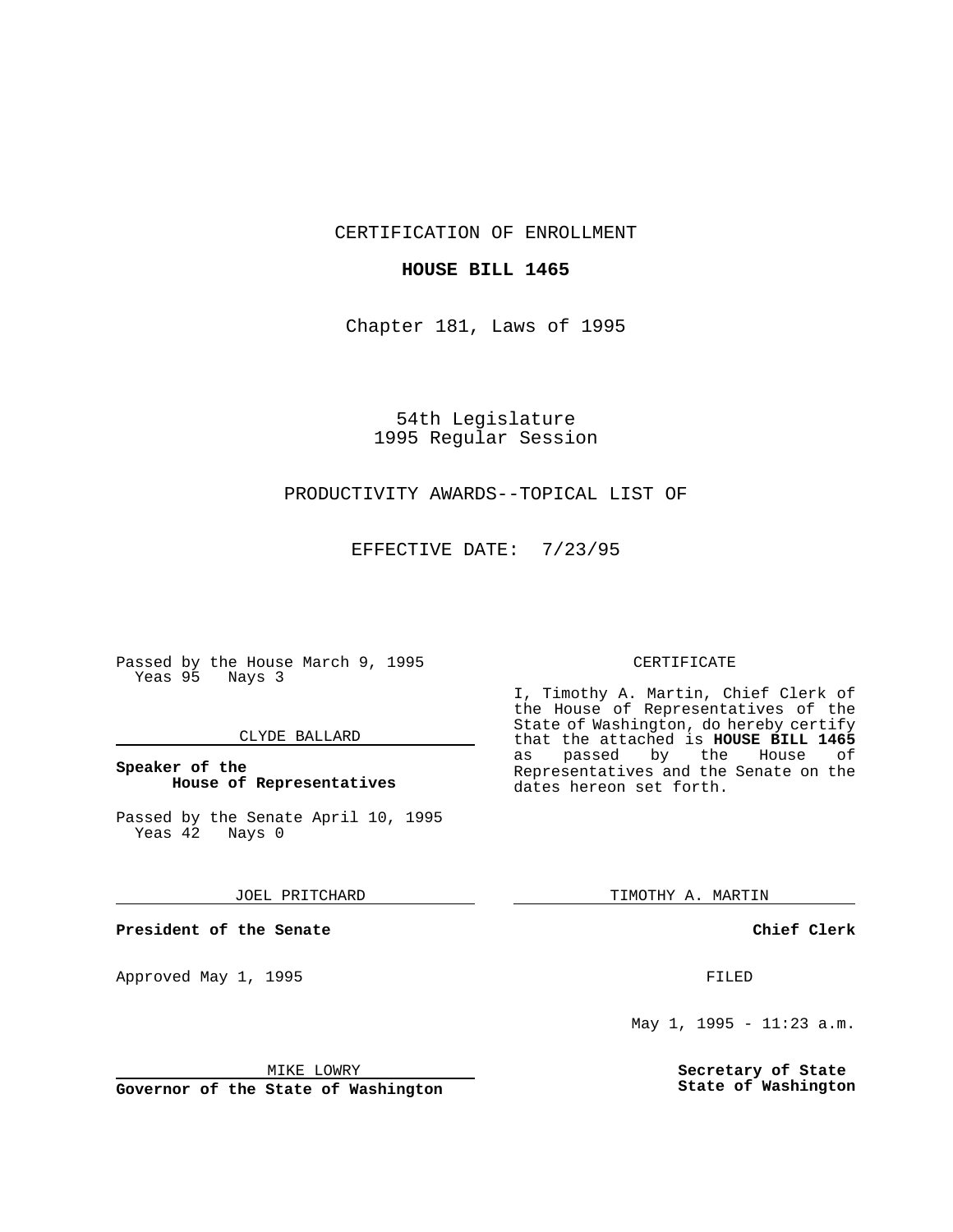CERTIFICATION OF ENROLLMENT

## **HOUSE BILL 1465**

Chapter 181, Laws of 1995

54th Legislature 1995 Regular Session

# PRODUCTIVITY AWARDS--TOPICAL LIST OF

EFFECTIVE DATE: 7/23/95

Passed by the House March 9, 1995 Yeas 95 Nays 3

## CLYDE BALLARD

# **Speaker of the House of Representatives**

Passed by the Senate April 10, 1995<br>Yeas 42 Nays 0 Yeas 42

JOEL PRITCHARD

**President of the Senate**

Approved May 1, 1995 **FILED** 

#### MIKE LOWRY

**Governor of the State of Washington**

#### CERTIFICATE

I, Timothy A. Martin, Chief Clerk of the House of Representatives of the State of Washington, do hereby certify that the attached is **HOUSE BILL 1465** as passed by the House of Representatives and the Senate on the dates hereon set forth.

TIMOTHY A. MARTIN

## **Chief Clerk**

May 1, 1995 - 11:23 a.m.

**Secretary of State State of Washington**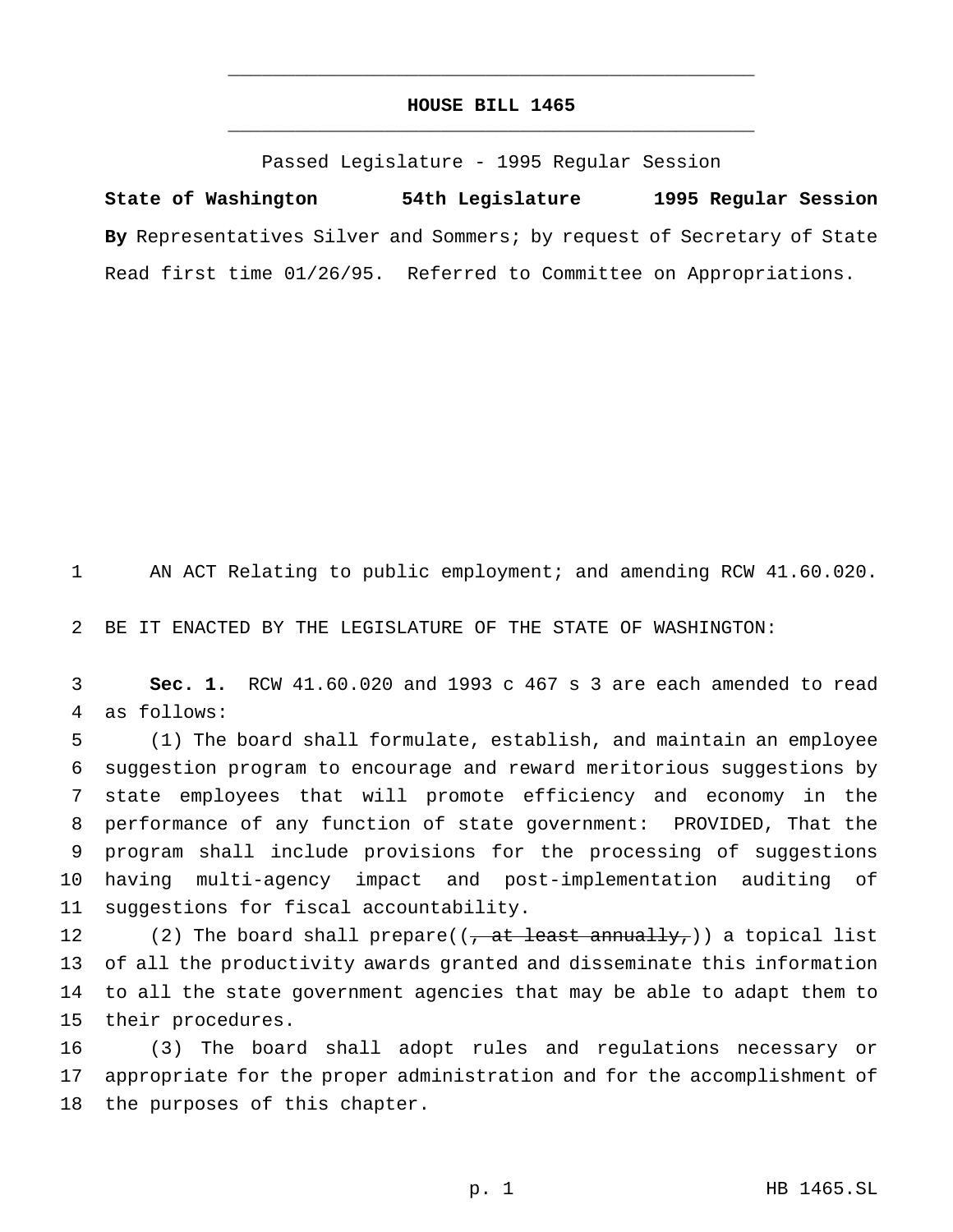# **HOUSE BILL 1465** \_\_\_\_\_\_\_\_\_\_\_\_\_\_\_\_\_\_\_\_\_\_\_\_\_\_\_\_\_\_\_\_\_\_\_\_\_\_\_\_\_\_\_\_\_\_\_

\_\_\_\_\_\_\_\_\_\_\_\_\_\_\_\_\_\_\_\_\_\_\_\_\_\_\_\_\_\_\_\_\_\_\_\_\_\_\_\_\_\_\_\_\_\_\_

Passed Legislature - 1995 Regular Session

**State of Washington 54th Legislature 1995 Regular Session By** Representatives Silver and Sommers; by request of Secretary of State Read first time 01/26/95. Referred to Committee on Appropriations.

AN ACT Relating to public employment; and amending RCW 41.60.020.

BE IT ENACTED BY THE LEGISLATURE OF THE STATE OF WASHINGTON:

 **Sec. 1.** RCW 41.60.020 and 1993 c 467 s 3 are each amended to read as follows:

 (1) The board shall formulate, establish, and maintain an employee suggestion program to encourage and reward meritorious suggestions by state employees that will promote efficiency and economy in the performance of any function of state government: PROVIDED, That the program shall include provisions for the processing of suggestions having multi-agency impact and post-implementation auditing of suggestions for fiscal accountability.

12 (2) The board shall prepare( $(\frac{1}{10})$  at least annually,)) a topical list of all the productivity awards granted and disseminate this information to all the state government agencies that may be able to adapt them to their procedures.

 (3) The board shall adopt rules and regulations necessary or appropriate for the proper administration and for the accomplishment of the purposes of this chapter.